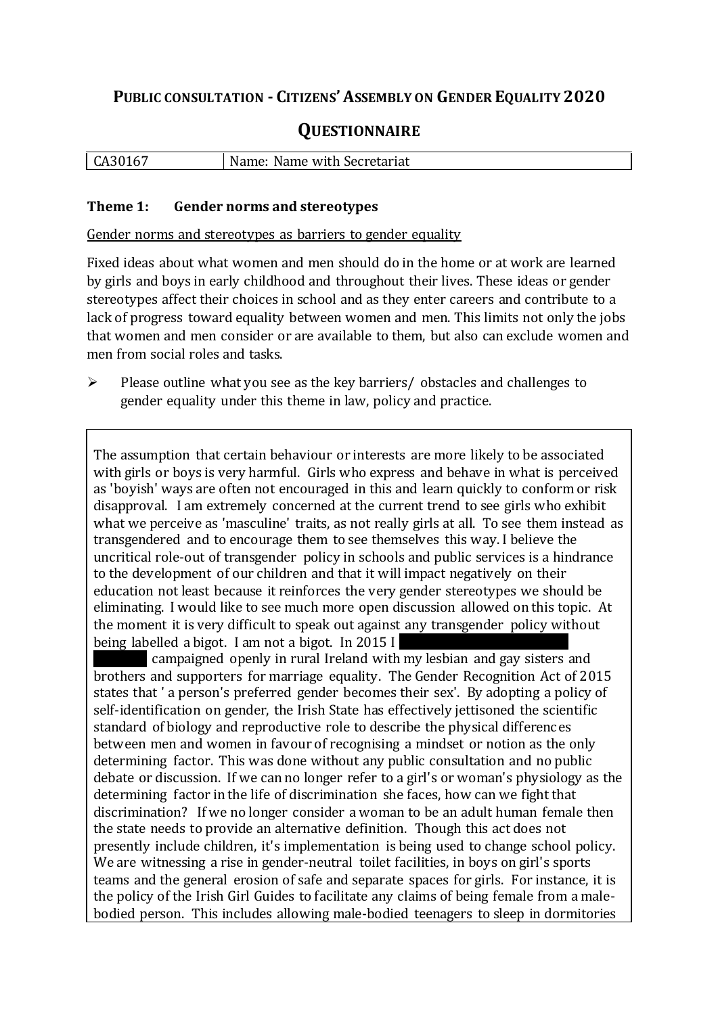## **PUBLIC CONSULTATION - CITIZENS'ASSEMBLY ON GENDER EQUALITY 2020**

# **QUESTIONNAIRE**

| CA3016, | Name:<br>Name with Secretariat |
|---------|--------------------------------|
|         |                                |

#### **Theme 1: Gender norms and stereotypes**

Gender norms and stereotypes as barriers to gender equality

Fixed ideas about what women and men should do in the home or at work are learned by girls and boys in early childhood and throughout their lives. These ideas or gender stereotypes affect their choices in school and as they enter careers and contribute to a lack of progress toward equality between women and men. This limits not only the jobs that women and men consider or are available to them, but also can exclude women and men from social roles and tasks.

 $\triangleright$  Please outline what you see as the key barriers/ obstacles and challenges to gender equality under this theme in law, policy and practice.

The assumption that certain behaviour or interests are more likely to be associated with girls or boys is very harmful. Girls who express and behave in what is perceived as 'boyish' ways are often not encouraged in this and learn quickly to conform or risk disapproval. I am extremely concerned at the current trend to see girls who exhibit what we perceive as 'masculine' traits, as not really girls at all. To see them instead as transgendered and to encourage them to see themselves this way. I believe the uncritical role-out of transgender policy in schools and public services is a hindrance to the development of our children and that it will impact negatively on their education not least because it reinforces the very gender stereotypes we should be eliminating. I would like to see much more open discussion allowed on this topic. At the moment it is very difficult to speak out against any transgender policy without being labelled a bigot. I am not a bigot. In 2015 I

campaigned openly in rural Ireland with my lesbian and gay sisters and brothers and supporters for marriage equality. The Gender Recognition Act of 2015 states that ' a person's preferred gender becomes their sex'. By adopting a policy of self-identification on gender, the Irish State has effectively jettisoned the scientific standard of biology and reproductive role to describe the physical differences between men and women in favour of recognising a mindset or notion as the only determining factor. This was done without any public consultation and no public debate or discussion. If we can no longer refer to a girl's or woman's physiology as the determining factor in the life of discrimination she faces, how can we fight that discrimination? If we no longer consider a woman to be an adult human female then the state needs to provide an alternative definition. Though this act does not presently include children, it's implementation is being used to change school policy. We are witnessing a rise in gender-neutral toilet facilities, in boys on girl's sports teams and the general erosion of safe and separate spaces for girls. For instance, it is the policy of the Irish Girl Guides to facilitate any claims of being female from a malebodied person. This includes allowing male-bodied teenagers to sleep in dormitories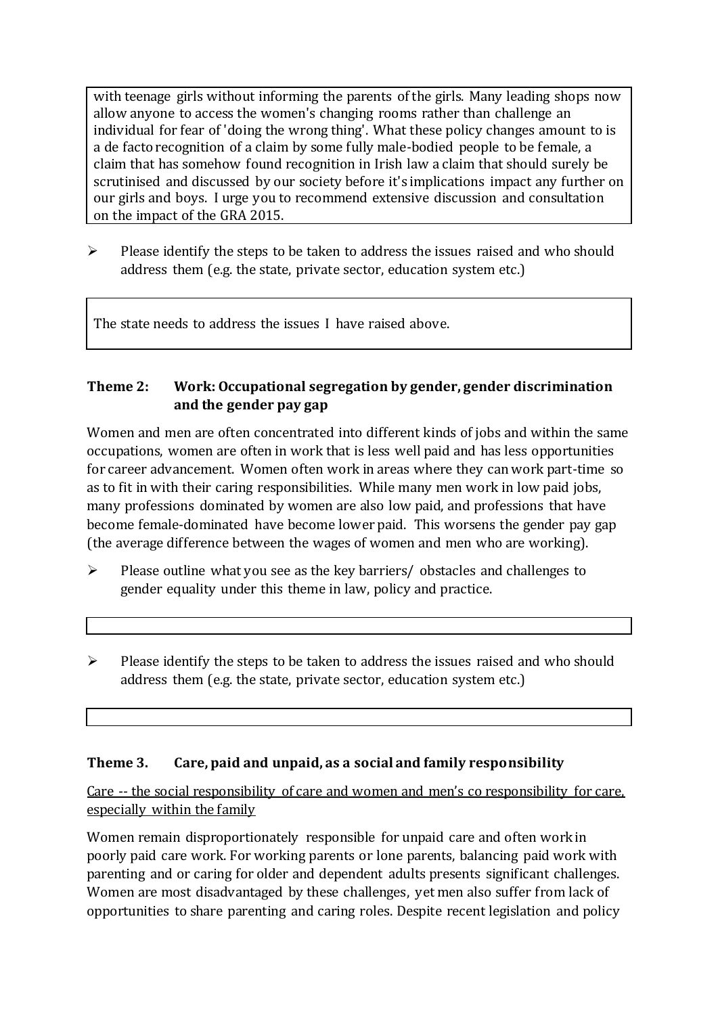with teenage girls without informing the parents of the girls. Many leading shops now allow anyone to access the women's changing rooms rather than challenge an individual for fear of 'doing the wrong thing'. What these policy changes amount to is a de facto recognition of a claim by some fully male-bodied people to be female, a claim that has somehow found recognition in Irish law a claim that should surely be scrutinised and discussed by our society before it's implications impact any further on our girls and boys. I urge you to recommend extensive discussion and consultation on the impact of the GRA 2015.

 $\triangleright$  Please identify the steps to be taken to address the issues raised and who should address them (e.g. the state, private sector, education system etc.)

The state needs to address the issues I have raised above.

#### **Theme 2: Work: Occupational segregation by gender, gender discrimination and the gender pay gap**

Women and men are often concentrated into different kinds of jobs and within the same occupations, women are often in work that is less well paid and has less opportunities for career advancement. Women often work in areas where they can work part-time so as to fit in with their caring responsibilities. While many men work in low paid jobs, many professions dominated by women are also low paid, and professions that have become female-dominated have become lower paid. This worsens the gender pay gap (the average difference between the wages of women and men who are working).

- $\triangleright$  Please outline what you see as the key barriers/ obstacles and challenges to gender equality under this theme in law, policy and practice.
- $\triangleright$  Please identify the steps to be taken to address the issues raised and who should address them (e.g. the state, private sector, education system etc.)

#### **Theme 3. Care, paid and unpaid, as a social and family responsibility**

Care -- the social responsibility of care and women and men's co responsibility for care, especially within the family

Women remain disproportionately responsible for unpaid care and often work in poorly paid care work. For working parents or [lone parents,](https://aran.library.nuigalway.ie/bitstream/handle/10379/6044/Millar_and_Crosse_Activation_Report.pdf?sequence=1&isAllowed=y) balancing paid work with parenting and or caring for older and dependent adults presents significant challenges. Women are [most disadvantaged by these challenges,](https://eige.europa.eu/gender-equality-index/game/IE/W) yet men also suffer from lack of opportunities to share parenting and caring roles. Despite recent legislation and policy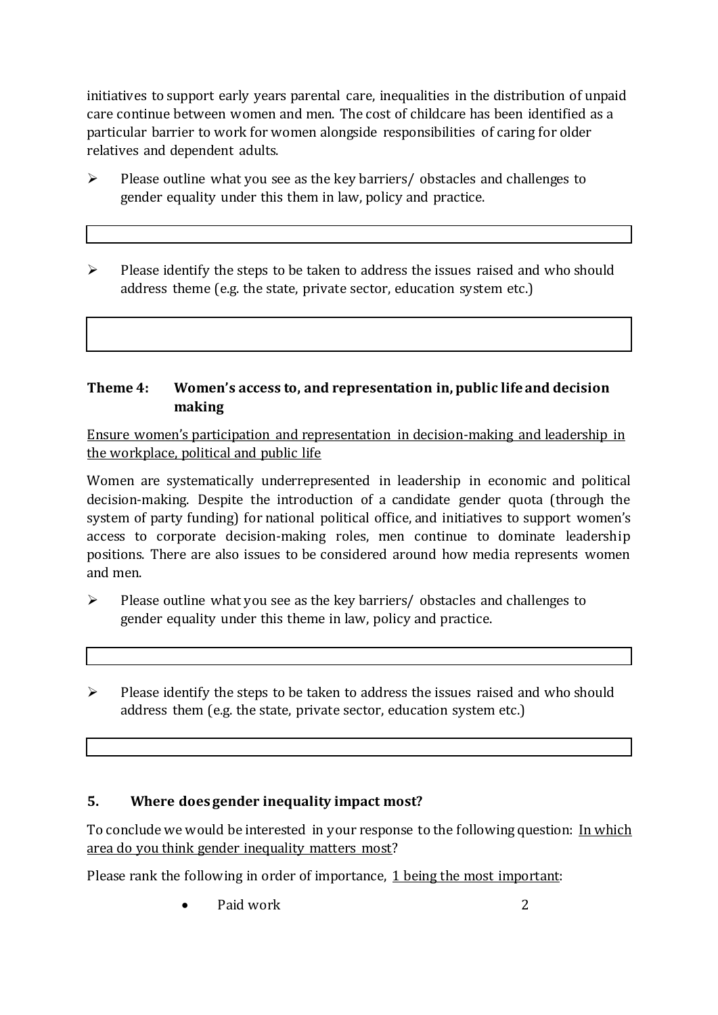initiatives to support early years parental care, [inequalities in the distribution of unpaid](https://www.ihrec.ie/app/uploads/2019/07/Caring-and-Unpaid-Work-in-Ireland_Final.pdf)  [care](https://www.ihrec.ie/app/uploads/2019/07/Caring-and-Unpaid-Work-in-Ireland_Final.pdf) continue between women and men. The cost of childcare has been identified as a particular barrier to work for women alongside responsibilities of caring for older relatives and dependent adults.

- $\triangleright$  Please outline what you see as the key barriers/ obstacles and challenges to gender equality under this them in law, policy and practice.
- $\triangleright$  Please identify the steps to be taken to address the issues raised and who should address theme (e.g. the state, private sector, education system etc.)

#### **Theme 4: Women's access to, and representation in, public life and decision making**

Ensure women's participation and representation in decision-making and leadership in the workplace, political and public life

Women are systematically underrepresented in leadership in [economic](https://eige.europa.eu/gender-equality-index/2019/compare-countries/power/2/bar) and [political](https://eige.europa.eu/gender-equality-index/2019/compare-countries/power/1/bar)  [decision-](https://eige.europa.eu/gender-equality-index/2019/compare-countries/power/1/bar)making. Despite the introduction of a candidate gender quota (through the system of party funding) for national political office, and [initiatives](https://betterbalance.ie/) to support women's access to corporate decision-making roles, men continue to dominate leadership positions. There are also issues to be considered around how media represents women and men.

- $\triangleright$  Please outline what you see as the key barriers/ obstacles and challenges to gender equality under this theme in law, policy and practice.
- $\triangleright$  Please identify the steps to be taken to address the issues raised and who should address them (e.g. the state, private sector, education system etc.)

### **5. Where does gender inequality impact most?**

To conclude we would be interested in your response to the following question: In which area do you think gender inequality matters most?

Please rank the following in order of importance, 1 being the most important:

• Paid work 2